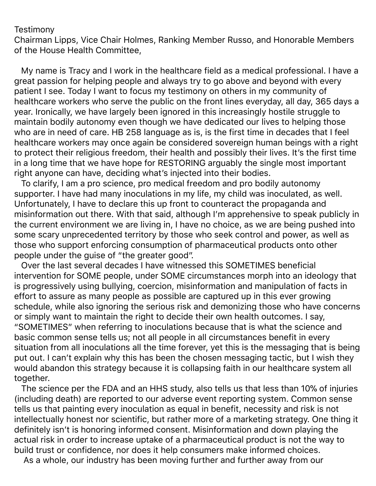## **Testimony**

Chairman Lipps, Vice Chair Holmes, Ranking Member Russo, and Honorable Members of the House Health Committee,

 My name is Tracy and I work in the healthcare field as a medical professional. I have a great passion for helping people and always try to go above and beyond with every patient I see. Today I want to focus my testimony on others in my community of healthcare workers who serve the public on the front lines everyday, all day, 365 days a year. Ironically, we have largely been ignored in this increasingly hostile struggle to maintain bodily autonomy even though we have dedicated our lives to helping those who are in need of care. HB 258 language as is, is the first time in decades that I feel healthcare workers may once again be considered sovereign human beings with a right to protect their religious freedom, their health and possibly their lives. It's the first time in a long time that we have hope for RESTORING arguably the single most important right anyone can have, deciding what's injected into their bodies.

 To clarify, I am a pro science, pro medical freedom and pro bodily autonomy supporter. I have had many inoculations in my life, my child was inoculated, as well. Unfortunately, I have to declare this up front to counteract the propaganda and misinformation out there. With that said, although I'm apprehensive to speak publicly in the current environment we are living in, I have no choice, as we are being pushed into some scary unprecedented territory by those who seek control and power, as well as those who support enforcing consumption of pharmaceutical products onto other people under the guise of "the greater good".

 Over the last several decades I have witnessed this SOMETIMES beneficial intervention for SOME people, under SOME circumstances morph into an ideology that is progressively using bullying, coercion, misinformation and manipulation of facts in effort to assure as many people as possible are captured up in this ever growing schedule, while also ignoring the serious risk and demonizing those who have concerns or simply want to maintain the right to decide their own health outcomes. I say, "SOMETIMES" when referring to inoculations because that is what the science and basic common sense tells us; not all people in all circumstances benefit in every situation from all inoculations all the time forever, yet this is the messaging that is being put out. I can't explain why this has been the chosen messaging tactic, but I wish they would abandon this strategy because it is collapsing faith in our healthcare system all together.

 The science per the FDA and an HHS study, also tells us that less than 10% of injuries (including death) are reported to our adverse event reporting system. Common sense tells us that painting every inoculation as equal in benefit, necessity and risk is not intellectually honest nor scientific, but rather more of a marketing strategy. One thing it definitely isn't is honoring informed consent. Misinformation and down playing the actual risk in order to increase uptake of a pharmaceutical product is not the way to build trust or confidence, nor does it help consumers make informed choices.

As a whole, our industry has been moving further and further away from our